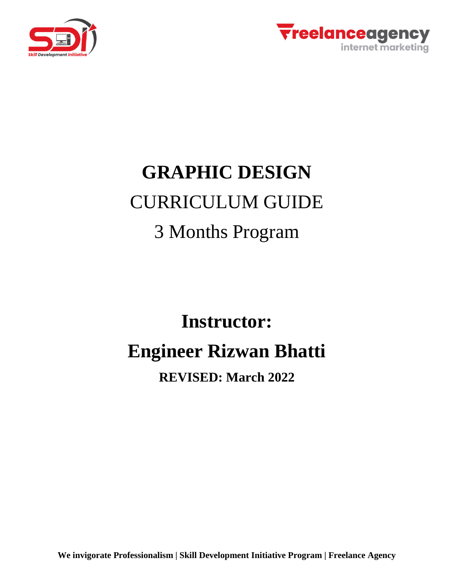



# **GRAPHIC DESIGN** CURRICULUM GUIDE 3 Months Program

# **Instructor: Engineer Rizwan Bhatti**

## **REVISED: March 2022**

**We invigorate Professionalism | Skill Development Initiative Program | Freelance Agency**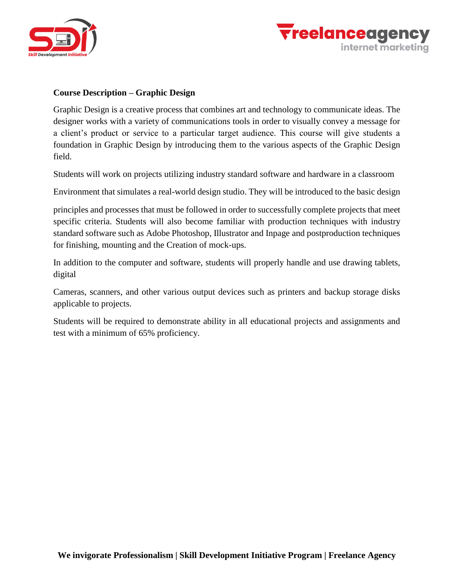



#### **Course Description – Graphic Design**

Graphic Design is a creative process that combines art and technology to communicate ideas. The designer works with a variety of communications tools in order to visually convey a message for a client's product or service to a particular target audience. This course will give students a foundation in Graphic Design by introducing them to the various aspects of the Graphic Design field.

Students will work on projects utilizing industry standard software and hardware in a classroom

Environment that simulates a real-world design studio. They will be introduced to the basic design

principles and processes that must be followed in order to successfully complete projects that meet specific criteria. Students will also become familiar with production techniques with industry standard software such as Adobe Photoshop, Illustrator and Inpage and postproduction techniques for finishing, mounting and the Creation of mock-ups.

In addition to the computer and software, students will properly handle and use drawing tablets, digital

Cameras, scanners, and other various output devices such as printers and backup storage disks applicable to projects.

Students will be required to demonstrate ability in all educational projects and assignments and test with a minimum of 65% proficiency.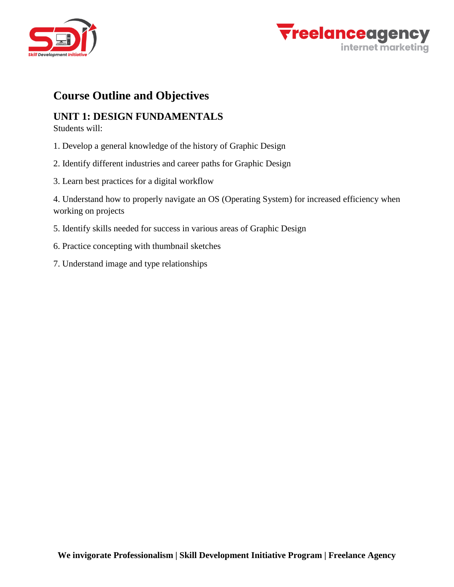



### **Course Outline and Objectives**

#### **UNIT 1: DESIGN FUNDAMENTALS**

Students will:

- 1. Develop a general knowledge of the history of Graphic Design
- 2. Identify different industries and career paths for Graphic Design
- 3. Learn best practices for a digital workflow

4. Understand how to properly navigate an OS (Operating System) for increased efficiency when working on projects

- 5. Identify skills needed for success in various areas of Graphic Design
- 6. Practice concepting with thumbnail sketches
- 7. Understand image and type relationships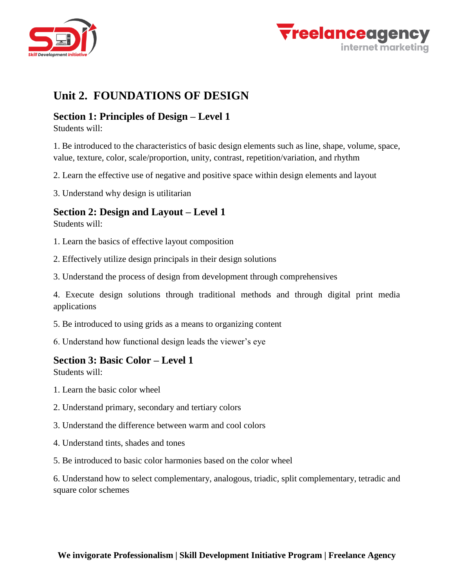



### **Unit 2. FOUNDATIONS OF DESIGN**

#### **Section 1: Principles of Design – Level 1**

Students will:

1. Be introduced to the characteristics of basic design elements such as line, shape, volume, space, value, texture, color, scale/proportion, unity, contrast, repetition/variation, and rhythm

2. Learn the effective use of negative and positive space within design elements and layout

3. Understand why design is utilitarian

#### **Section 2: Design and Layout – Level 1**

Students will:

- 1. Learn the basics of effective layout composition
- 2. Effectively utilize design principals in their design solutions
- 3. Understand the process of design from development through comprehensives

4. Execute design solutions through traditional methods and through digital print media applications

- 5. Be introduced to using grids as a means to organizing content
- 6. Understand how functional design leads the viewer's eye

#### **Section 3: Basic Color – Level 1**

Students will:

- 1. Learn the basic color wheel
- 2. Understand primary, secondary and tertiary colors
- 3. Understand the difference between warm and cool colors
- 4. Understand tints, shades and tones
- 5. Be introduced to basic color harmonies based on the color wheel

6. Understand how to select complementary, analogous, triadic, split complementary, tetradic and square color schemes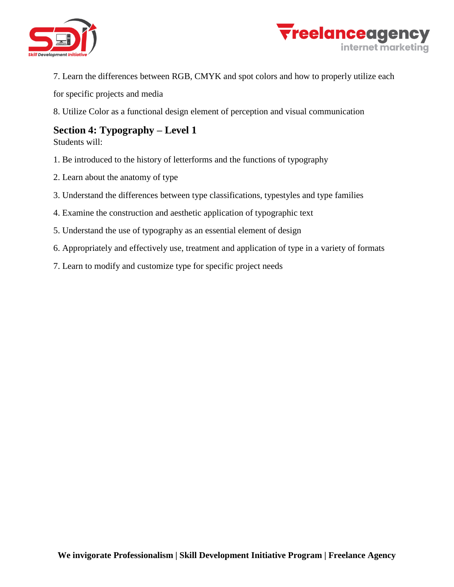



7. Learn the differences between RGB, CMYK and spot colors and how to properly utilize each

for specific projects and media

8. Utilize Color as a functional design element of perception and visual communication

#### **Section 4: Typography – Level 1**

Students will:

- 1. Be introduced to the history of letterforms and the functions of typography
- 2. Learn about the anatomy of type
- 3. Understand the differences between type classifications, typestyles and type families
- 4. Examine the construction and aesthetic application of typographic text
- 5. Understand the use of typography as an essential element of design
- 6. Appropriately and effectively use, treatment and application of type in a variety of formats
- 7. Learn to modify and customize type for specific project needs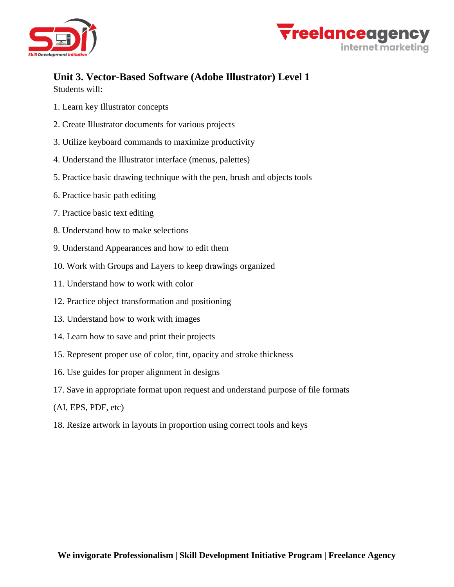



# **Unit 3. Vector-Based Software (Adobe Illustrator) Level 1**

Students will:

- 1. Learn key Illustrator concepts
- 2. Create Illustrator documents for various projects
- 3. Utilize keyboard commands to maximize productivity
- 4. Understand the Illustrator interface (menus, palettes)
- 5. Practice basic drawing technique with the pen, brush and objects tools
- 6. Practice basic path editing
- 7. Practice basic text editing
- 8. Understand how to make selections
- 9. Understand Appearances and how to edit them
- 10. Work with Groups and Layers to keep drawings organized
- 11. Understand how to work with color
- 12. Practice object transformation and positioning
- 13. Understand how to work with images
- 14. Learn how to save and print their projects
- 15. Represent proper use of color, tint, opacity and stroke thickness
- 16. Use guides for proper alignment in designs
- 17. Save in appropriate format upon request and understand purpose of file formats
- (AI, EPS, PDF, etc)
- 18. Resize artwork in layouts in proportion using correct tools and keys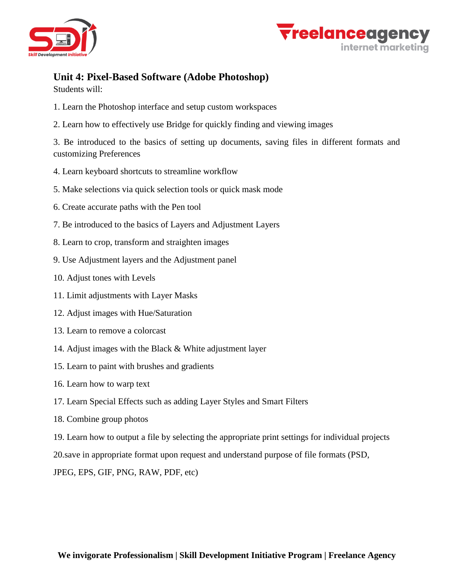



#### **Unit 4: Pixel-Based Software (Adobe Photoshop)**

Students will:

- 1. Learn the Photoshop interface and setup custom workspaces
- 2. Learn how to effectively use Bridge for quickly finding and viewing images

3. Be introduced to the basics of setting up documents, saving files in different formats and customizing Preferences

- 4. Learn keyboard shortcuts to streamline workflow
- 5. Make selections via quick selection tools or quick mask mode
- 6. Create accurate paths with the Pen tool
- 7. Be introduced to the basics of Layers and Adjustment Layers
- 8. Learn to crop, transform and straighten images
- 9. Use Adjustment layers and the Adjustment panel
- 10. Adjust tones with Levels
- 11. Limit adjustments with Layer Masks
- 12. Adjust images with Hue/Saturation
- 13. Learn to remove a colorcast
- 14. Adjust images with the Black & White adjustment layer
- 15. Learn to paint with brushes and gradients
- 16. Learn how to warp text
- 17. Learn Special Effects such as adding Layer Styles and Smart Filters
- 18. Combine group photos
- 19. Learn how to output a file by selecting the appropriate print settings for individual projects

20.save in appropriate format upon request and understand purpose of file formats (PSD,

JPEG, EPS, GIF, PNG, RAW, PDF, etc)